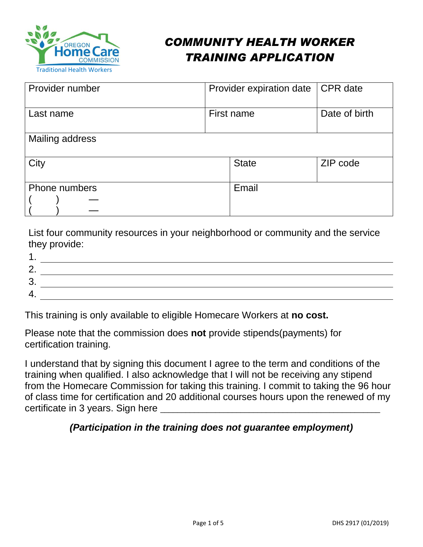

# *COMMUNITY HEALTH WORKER TRAINING APPLICATION*

| Provider number      | Provider expiration date | CPR date      |
|----------------------|--------------------------|---------------|
| Last name            | First name               | Date of birth |
| Mailing address      |                          |               |
| City                 | <b>State</b>             | ZIP code      |
| <b>Phone numbers</b> | Email                    |               |
|                      |                          |               |
|                      |                          |               |

List four community resources in your neighborhood or community and the service they provide:

| r  |  |  |  |
|----|--|--|--|
|    |  |  |  |
| u. |  |  |  |
|    |  |  |  |

This training is only available to eligible Homecare Workers at **no cost.**

Please note that the commission does **not** provide stipends(payments) for certification training.

I understand that by signing this document I agree to the term and conditions of the training when qualified. I also acknowledge that I will not be receiving any stipend from the Homecare Commission for taking this training. I commit to taking the 96 hour of class time for certification and 20 additional courses hours upon the renewed of my certificate in 3 years. Sign here

#### *(Participation in the training does not guarantee employment)*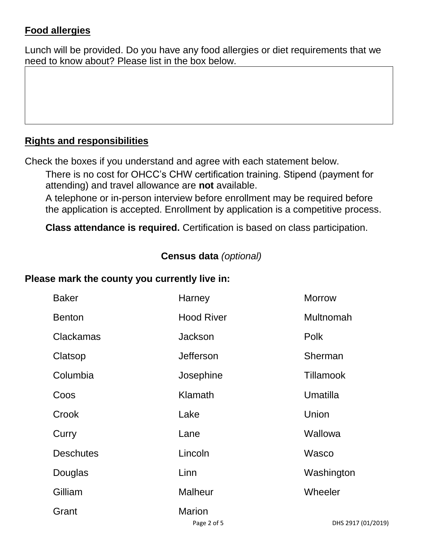# **Food allergies**

Lunch will be provided. Do you have any food allergies or diet requirements that we need to know about? Please list in the box below.

# **Rights and responsibilities**

Check the boxes if you understand and agree with each statement below.

There is no cost for OHCC's CHW certification training. Stipend (payment for attending) and travel allowance are **not** available.

A telephone or in-person interview before enrollment may be required before the application is accepted. Enrollment by application is a competitive process.

**Class attendance is required.** Certification is based on class participation.

# **Census data** *(optional)*

#### **Please mark the county you currently live in:**

| <b>Baker</b>     | Harney                       | <b>Morrow</b>      |
|------------------|------------------------------|--------------------|
| <b>Benton</b>    | <b>Hood River</b>            | Multnomah          |
| <b>Clackamas</b> | <b>Jackson</b>               | <b>Polk</b>        |
| Clatsop          | <b>Jefferson</b>             | Sherman            |
| Columbia         | Josephine                    | <b>Tillamook</b>   |
| Coos             | Klamath                      | Umatilla           |
| Crook            | Lake                         | Union              |
| Curry            | Lane                         | Wallowa            |
| <b>Deschutes</b> | Lincoln                      | Wasco              |
| Douglas          | Linn                         | Washington         |
| Gilliam          | <b>Malheur</b>               | Wheeler            |
| Grant            | <b>Marion</b><br>Page 2 of 5 | DHS 2917 (01/2019) |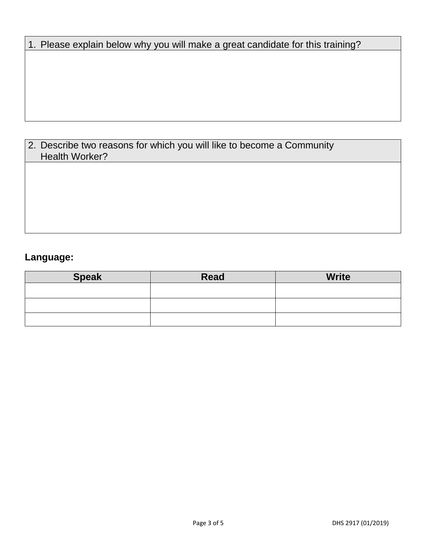| 1. Please explain below why you will make a great candidate for this training? |
|--------------------------------------------------------------------------------|
|--------------------------------------------------------------------------------|

# 2. Describe two reasons for which you will like to become a Community Health Worker?

# **Language:**

| <b>Speak</b> | Read | <b>Write</b> |
|--------------|------|--------------|
|              |      |              |
|              |      |              |
|              |      |              |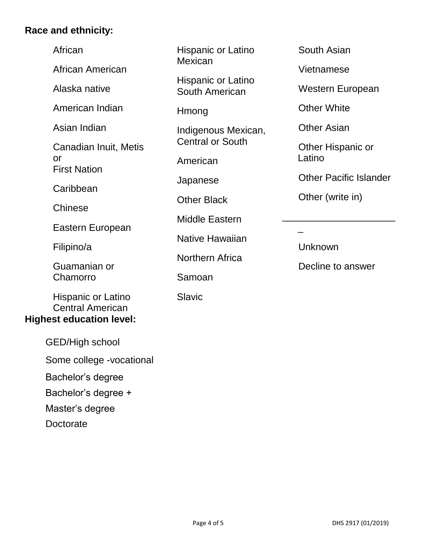### **Race and ethnicity:**

| African<br>African American                                                      | Hispanic or I<br>Mexican            |
|----------------------------------------------------------------------------------|-------------------------------------|
| Alaska native                                                                    | Hispanic or I<br><b>South Ameri</b> |
| American Indian                                                                  | Hmong                               |
| Asian Indian                                                                     | Indigenous N<br>Central or So       |
| Canadian Inuit, Metis<br>or<br><b>First Nation</b>                               | American                            |
| Caribbean                                                                        | Japanese                            |
| Chinese                                                                          | <b>Other Black</b>                  |
| Eastern European                                                                 | <b>Middle Easte</b>                 |
| Filipino/a                                                                       | <b>Native Hawa</b>                  |
| Guamanian or                                                                     | Northern Afr                        |
| Chamorro                                                                         | Samoan                              |
| Hispanic or Latino<br><b>Central American</b><br><b>Highest education level:</b> | Slavic                              |

 GED/High school Some college -vocational Bachelor's degree Bachelor's degree + Master's degree **Doctorate** 

Latino

Latino ican

Mexican, outh

ern

aiian

ica

South Asian

Vietnamese

Western European

Other White

Other Asian

Other Hispanic or Latino

Other Pacific Islander

Other (write in)

\_

Unknown

Decline to answer

\_\_\_\_\_\_\_\_\_\_\_\_\_\_\_\_\_\_\_\_\_